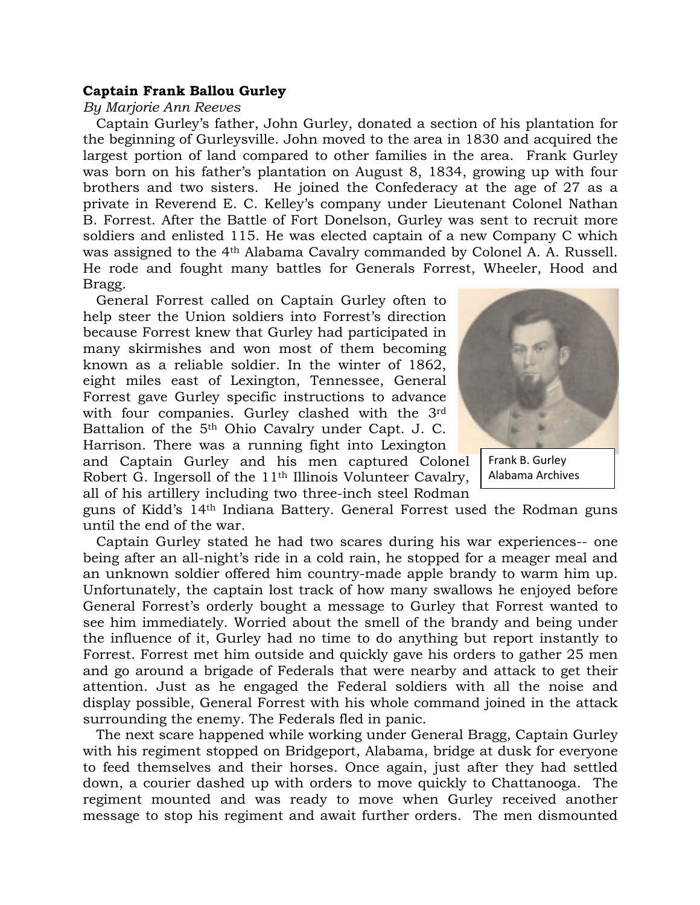## **Captain Frank Ballou Gurley**

*By Marjorie Ann Reeves*

 Captain Gurley's father, John Gurley, donated a section of his plantation for the beginning of Gurleysville. John moved to the area in 1830 and acquired the largest portion of land compared to other families in the area. Frank Gurley was born on his father's plantation on August 8, 1834, growing up with four brothers and two sisters. He joined the Confederacy at the age of 27 as a private in Reverend E. C. Kelley's company under Lieutenant Colonel Nathan B. Forrest. After the Battle of Fort Donelson, Gurley was sent to recruit more soldiers and enlisted 115. He was elected captain of a new Company C which was assigned to the 4th Alabama Cavalry commanded by Colonel A. A. Russell. He rode and fought many battles for Generals Forrest, Wheeler, Hood and Bragg.

 General Forrest called on Captain Gurley often to help steer the Union soldiers into Forrest's direction because Forrest knew that Gurley had participated in many skirmishes and won most of them becoming known as a reliable soldier. In the winter of 1862, eight miles east of Lexington, Tennessee, General Forrest gave Gurley specific instructions to advance with four companies. Gurley clashed with the 3rd Battalion of the 5<sup>th</sup> Ohio Cavalry under Capt. J. C. Harrison. There was a running fight into Lexington





Frank B. Gurley Alabama Archives

guns of Kidd's 14th Indiana Battery. General Forrest used the Rodman guns until the end of the war.

 Captain Gurley stated he had two scares during his war experiences-- one being after an all-night's ride in a cold rain, he stopped for a meager meal and an unknown soldier offered him country-made apple brandy to warm him up. Unfortunately, the captain lost track of how many swallows he enjoyed before General Forrest's orderly bought a message to Gurley that Forrest wanted to see him immediately. Worried about the smell of the brandy and being under the influence of it, Gurley had no time to do anything but report instantly to Forrest. Forrest met him outside and quickly gave his orders to gather 25 men and go around a brigade of Federals that were nearby and attack to get their attention. Just as he engaged the Federal soldiers with all the noise and display possible, General Forrest with his whole command joined in the attack surrounding the enemy. The Federals fled in panic.

 The next scare happened while working under General Bragg, Captain Gurley with his regiment stopped on Bridgeport, Alabama, bridge at dusk for everyone to feed themselves and their horses. Once again, just after they had settled down, a courier dashed up with orders to move quickly to Chattanooga. The regiment mounted and was ready to move when Gurley received another message to stop his regiment and await further orders. The men dismounted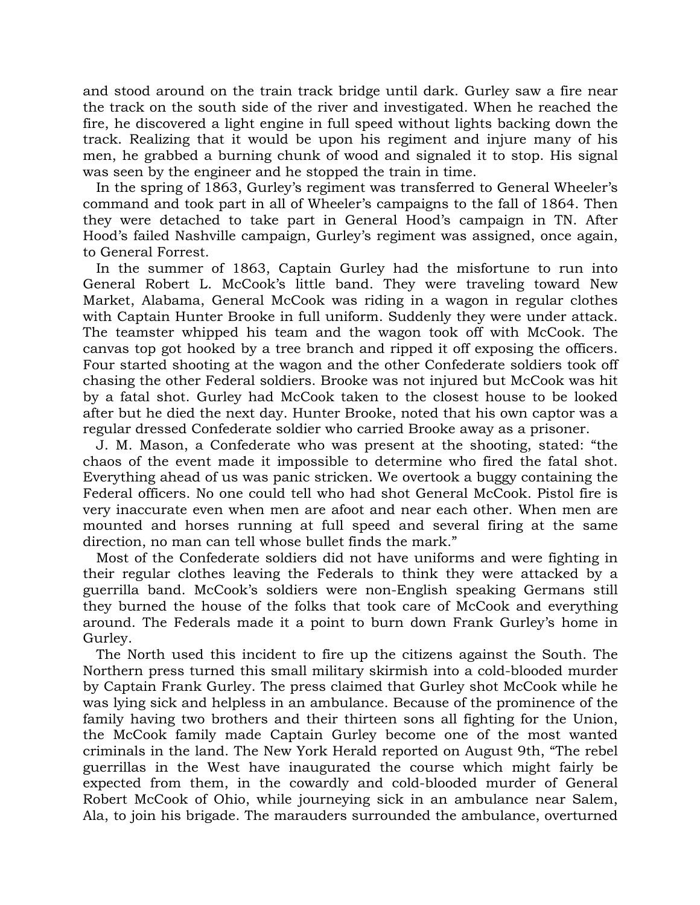and stood around on the train track bridge until dark. Gurley saw a fire near the track on the south side of the river and investigated. When he reached the fire, he discovered a light engine in full speed without lights backing down the track. Realizing that it would be upon his regiment and injure many of his men, he grabbed a burning chunk of wood and signaled it to stop. His signal was seen by the engineer and he stopped the train in time.

 In the spring of 1863, Gurley's regiment was transferred to General Wheeler's command and took part in all of Wheeler's campaigns to the fall of 1864. Then they were detached to take part in General Hood's campaign in TN. After Hood's failed Nashville campaign, Gurley's regiment was assigned, once again, to General Forrest.

 In the summer of 1863, Captain Gurley had the misfortune to run into General Robert L. McCook's little band. They were traveling toward New Market, Alabama, General McCook was riding in a wagon in regular clothes with Captain Hunter Brooke in full uniform. Suddenly they were under attack. The teamster whipped his team and the wagon took off with McCook. The canvas top got hooked by a tree branch and ripped it off exposing the officers. Four started shooting at the wagon and the other Confederate soldiers took off chasing the other Federal soldiers. Brooke was not injured but McCook was hit by a fatal shot. Gurley had McCook taken to the closest house to be looked after but he died the next day. Hunter Brooke, noted that his own captor was a regular dressed Confederate soldier who carried Brooke away as a prisoner.

 J. M. Mason, a Confederate who was present at the shooting, stated: "the chaos of the event made it impossible to determine who fired the fatal shot. Everything ahead of us was panic stricken. We overtook a buggy containing the Federal officers. No one could tell who had shot General McCook. Pistol fire is very inaccurate even when men are afoot and near each other. When men are mounted and horses running at full speed and several firing at the same direction, no man can tell whose bullet finds the mark."

 Most of the Confederate soldiers did not have uniforms and were fighting in their regular clothes leaving the Federals to think they were attacked by a guerrilla band. McCook's soldiers were non-English speaking Germans still they burned the house of the folks that took care of McCook and everything around. The Federals made it a point to burn down Frank Gurley's home in Gurley.

 The North used this incident to fire up the citizens against the South. The Northern press turned this small military skirmish into a cold-blooded murder by Captain Frank Gurley. The press claimed that Gurley shot McCook while he was lying sick and helpless in an ambulance. Because of the prominence of the family having two brothers and their thirteen sons all fighting for the Union, the McCook family made Captain Gurley become one of the most wanted criminals in the land. The New York Herald reported on August 9th, "The rebel guerrillas in the West have inaugurated the course which might fairly be expected from them, in the cowardly and cold-blooded murder of General Robert McCook of Ohio, while journeying sick in an ambulance near Salem, Ala, to join his brigade. The marauders surrounded the ambulance, overturned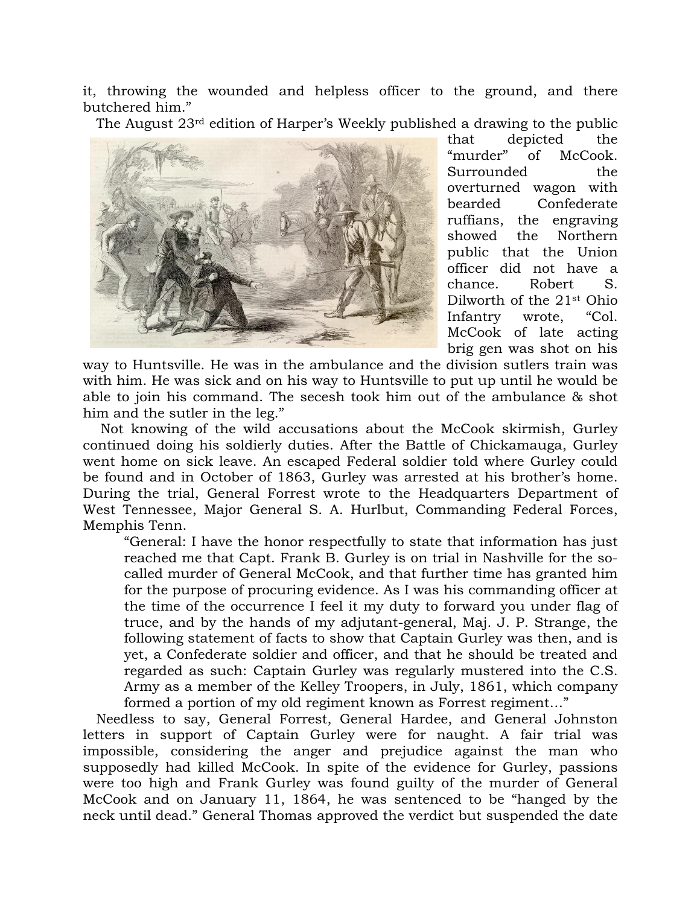it, throwing the wounded and helpless officer to the ground, and there butchered him."

The August 23rd edition of Harper's Weekly published a drawing to the public



that depicted the "murder" of McCook. Surrounded the overturned wagon with bearded Confederate ruffians, the engraving showed the Northern public that the Union officer did not have a chance. Robert S. Dilworth of the 21st Ohio Infantry wrote, "Col. McCook of late acting brig gen was shot on his

way to Huntsville. He was in the ambulance and the division sutlers train was with him. He was sick and on his way to Huntsville to put up until he would be able to join his command. The secesh took him out of the ambulance & shot him and the sutler in the leg."

 Not knowing of the wild accusations about the McCook skirmish, Gurley continued doing his soldierly duties. After the Battle of Chickamauga, Gurley went home on sick leave. An escaped Federal soldier told where Gurley could be found and in October of 1863, Gurley was arrested at his brother's home. During the trial, General Forrest wrote to the Headquarters Department of West Tennessee, Major General S. A. Hurlbut, Commanding Federal Forces, Memphis Tenn.

"General: I have the honor respectfully to state that information has just reached me that Capt. Frank B. Gurley is on trial in Nashville for the socalled murder of General McCook, and that further time has granted him for the purpose of procuring evidence. As I was his commanding officer at the time of the occurrence I feel it my duty to forward you under flag of truce, and by the hands of my adjutant-general, Maj. J. P. Strange, the following statement of facts to show that Captain Gurley was then, and is yet, a Confederate soldier and officer, and that he should be treated and regarded as such: Captain Gurley was regularly mustered into the C.S. Army as a member of the Kelley Troopers, in July, 1861, which company formed a portion of my old regiment known as Forrest regiment…"

 Needless to say, General Forrest, General Hardee, and General Johnston letters in support of Captain Gurley were for naught. A fair trial was impossible, considering the anger and prejudice against the man who supposedly had killed McCook. In spite of the evidence for Gurley, passions were too high and Frank Gurley was found guilty of the murder of General McCook and on January 11, 1864, he was sentenced to be "hanged by the neck until dead." General Thomas approved the verdict but suspended the date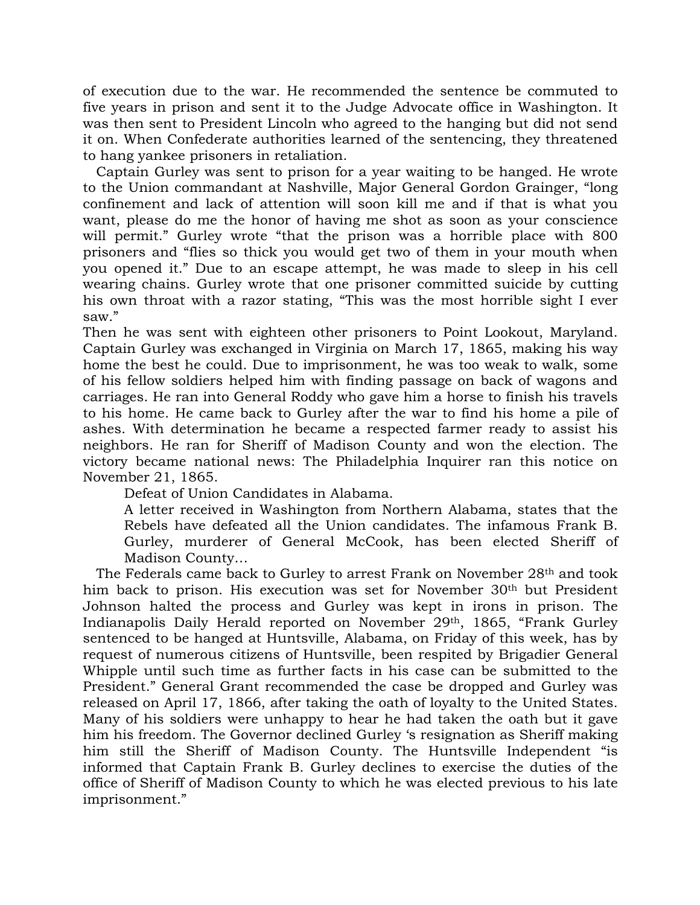of execution due to the war. He recommended the sentence be commuted to five years in prison and sent it to the Judge Advocate office in Washington. It was then sent to President Lincoln who agreed to the hanging but did not send it on. When Confederate authorities learned of the sentencing, they threatened to hang yankee prisoners in retaliation.

 Captain Gurley was sent to prison for a year waiting to be hanged. He wrote to the Union commandant at Nashville, Major General Gordon Grainger, "long confinement and lack of attention will soon kill me and if that is what you want, please do me the honor of having me shot as soon as your conscience will permit." Gurley wrote "that the prison was a horrible place with 800 prisoners and "flies so thick you would get two of them in your mouth when you opened it." Due to an escape attempt, he was made to sleep in his cell wearing chains. Gurley wrote that one prisoner committed suicide by cutting his own throat with a razor stating, "This was the most horrible sight I ever saw."

Then he was sent with eighteen other prisoners to Point Lookout, Maryland. Captain Gurley was exchanged in Virginia on March 17, 1865, making his way home the best he could. Due to imprisonment, he was too weak to walk, some of his fellow soldiers helped him with finding passage on back of wagons and carriages. He ran into General Roddy who gave him a horse to finish his travels to his home. He came back to Gurley after the war to find his home a pile of ashes. With determination he became a respected farmer ready to assist his neighbors. He ran for Sheriff of Madison County and won the election. The victory became national news: The Philadelphia Inquirer ran this notice on November 21, 1865.

Defeat of Union Candidates in Alabama.

A letter received in Washington from Northern Alabama, states that the Rebels have defeated all the Union candidates. The infamous Frank B. Gurley, murderer of General McCook, has been elected Sheriff of Madison County…

 The Federals came back to Gurley to arrest Frank on November 28th and took him back to prison. His execution was set for November 30<sup>th</sup> but President Johnson halted the process and Gurley was kept in irons in prison. The Indianapolis Daily Herald reported on November 29th, 1865, "Frank Gurley sentenced to be hanged at Huntsville, Alabama, on Friday of this week, has by request of numerous citizens of Huntsville, been respited by Brigadier General Whipple until such time as further facts in his case can be submitted to the President." General Grant recommended the case be dropped and Gurley was released on April 17, 1866, after taking the oath of loyalty to the United States. Many of his soldiers were unhappy to hear he had taken the oath but it gave him his freedom. The Governor declined Gurley 's resignation as Sheriff making him still the Sheriff of Madison County. The Huntsville Independent "is informed that Captain Frank B. Gurley declines to exercise the duties of the office of Sheriff of Madison County to which he was elected previous to his late imprisonment."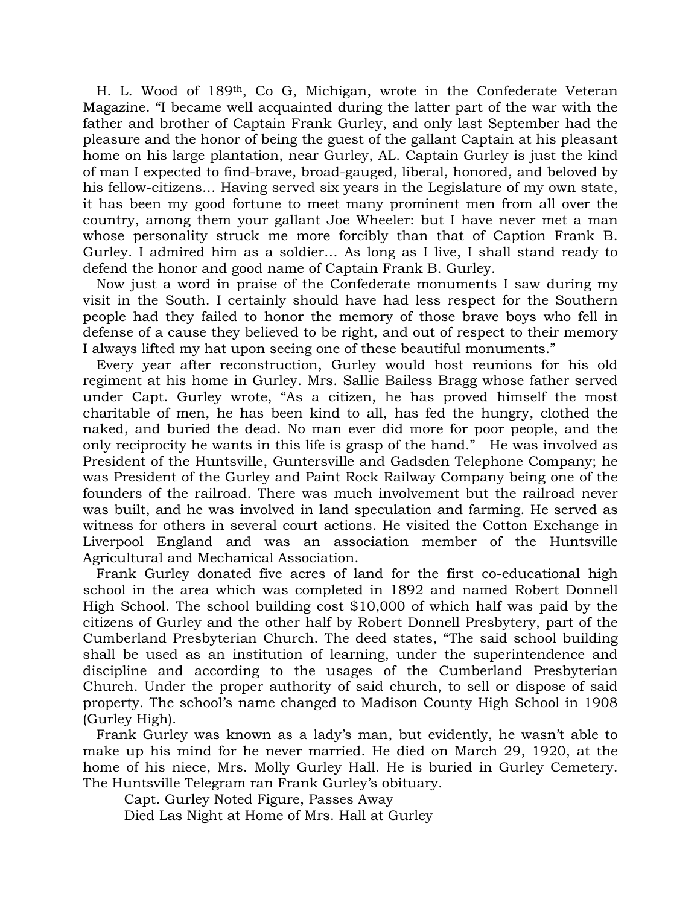H. L. Wood of 189th, Co G, Michigan, wrote in the Confederate Veteran Magazine. "I became well acquainted during the latter part of the war with the father and brother of Captain Frank Gurley, and only last September had the pleasure and the honor of being the guest of the gallant Captain at his pleasant home on his large plantation, near Gurley, AL. Captain Gurley is just the kind of man I expected to find-brave, broad-gauged, liberal, honored, and beloved by his fellow-citizens… Having served six years in the Legislature of my own state, it has been my good fortune to meet many prominent men from all over the country, among them your gallant Joe Wheeler: but I have never met a man whose personality struck me more forcibly than that of Caption Frank B. Gurley. I admired him as a soldier… As long as I live, I shall stand ready to defend the honor and good name of Captain Frank B. Gurley.

 Now just a word in praise of the Confederate monuments I saw during my visit in the South. I certainly should have had less respect for the Southern people had they failed to honor the memory of those brave boys who fell in defense of a cause they believed to be right, and out of respect to their memory I always lifted my hat upon seeing one of these beautiful monuments."

 Every year after reconstruction, Gurley would host reunions for his old regiment at his home in Gurley. Mrs. Sallie Bailess Bragg whose father served under Capt. Gurley wrote, "As a citizen, he has proved himself the most charitable of men, he has been kind to all, has fed the hungry, clothed the naked, and buried the dead. No man ever did more for poor people, and the only reciprocity he wants in this life is grasp of the hand." He was involved as President of the Huntsville, Guntersville and Gadsden Telephone Company; he was President of the Gurley and Paint Rock Railway Company being one of the founders of the railroad. There was much involvement but the railroad never was built, and he was involved in land speculation and farming. He served as witness for others in several court actions. He visited the Cotton Exchange in Liverpool England and was an association member of the Huntsville Agricultural and Mechanical Association.

 Frank Gurley donated five acres of land for the first co-educational high school in the area which was completed in 1892 and named Robert Donnell High School. The school building cost \$10,000 of which half was paid by the citizens of Gurley and the other half by Robert Donnell Presbytery, part of the Cumberland Presbyterian Church. The deed states, "The said school building shall be used as an institution of learning, under the superintendence and discipline and according to the usages of the Cumberland Presbyterian Church. Under the proper authority of said church, to sell or dispose of said property. The school's name changed to Madison County High School in 1908 (Gurley High).

 Frank Gurley was known as a lady's man, but evidently, he wasn't able to make up his mind for he never married. He died on March 29, 1920, at the home of his niece, Mrs. Molly Gurley Hall. He is buried in Gurley Cemetery. The Huntsville Telegram ran Frank Gurley's obituary.

Capt. Gurley Noted Figure, Passes Away Died Las Night at Home of Mrs. Hall at Gurley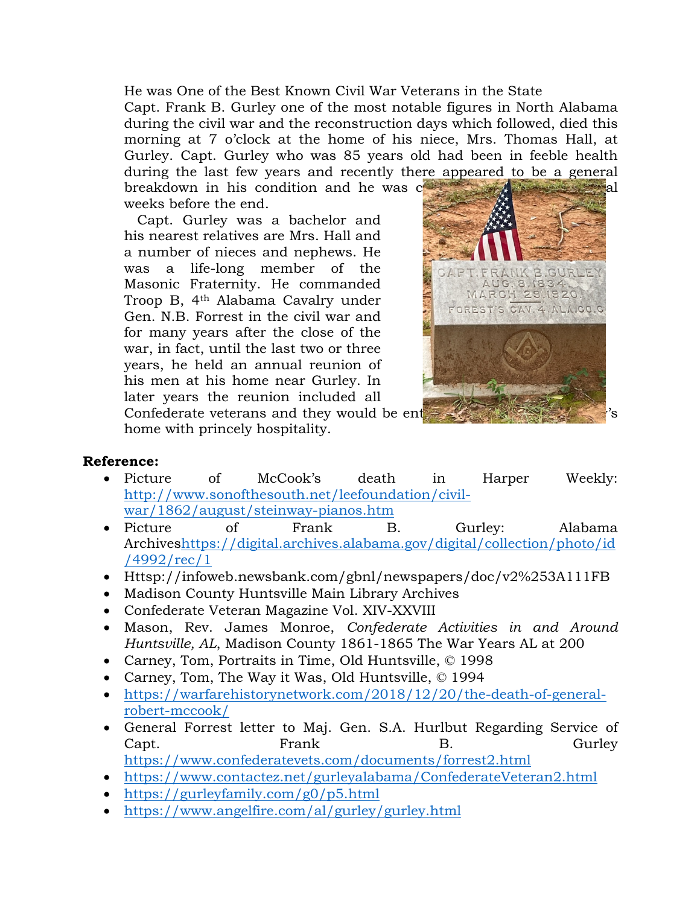He was One of the Best Known Civil War Veterans in the State Capt. Frank B. Gurley one of the most notable figures in North Alabama during the civil war and the reconstruction days which followed, died this morning at 7 o'clock at the home of his niece, Mrs. Thomas Hall, at Gurley. Capt. Gurley who was 85 years old had been in feeble health during the last few years and recently there appeared to be a general breakdown in his condition and he was  $c^2$  is the highest several several several several several several several several several several several several several several several several several several several several se

weeks before the end.

 Capt. Gurley was a bachelor and his nearest relatives are Mrs. Hall and a number of nieces and nephews. He was a life-long member of the Masonic Fraternity. He commanded Troop B, 4th Alabama Cavalry under Gen. N.B. Forrest in the civil war and for many years after the close of the war, in fact, until the last two or three years, he held an annual reunion of his men at his home near Gurley. In later years the reunion included all Confederate veterans and they would be ent



home with princely hospitality.

## **Reference:**

- Picture of McCook's death in Harper Weekly: http://www.sonofthesouth.net/leefoundation/civilwar/1862/august/steinway-pianos.htm
- Picture of Frank B. Gurley: Alabama Archiveshttps://digital.archives.alabama.gov/digital/collection/photo/id /4992/rec/1
- Httsp://infoweb.newsbank.com/gbnl/newspapers/doc/v2%253A111FB
- Madison County Huntsville Main Library Archives
- Confederate Veteran Magazine Vol. XIV-XXVIII
- Mason, Rev. James Monroe, *Confederate Activities in and Around Huntsville, AL*, Madison County 1861-1865 The War Years AL at 200
- Carney, Tom, Portraits in Time, Old Huntsville, © 1998
- Carney, Tom, The Way it Was, Old Huntsville, © 1994
- https://warfarehistorynetwork.com/2018/12/20/the-death-of-generalrobert-mccook/
- General Forrest letter to Maj. Gen. S.A. Hurlbut Regarding Service of Capt. Frank B. Gurley https://www.confederatevets.com/documents/forrest2.html
- https://www.contactez.net/gurleyalabama/ConfederateVeteran2.html
- https://gurleyfamily.com/g0/p5.html
- https://www.angelfire.com/al/gurley/gurley.html